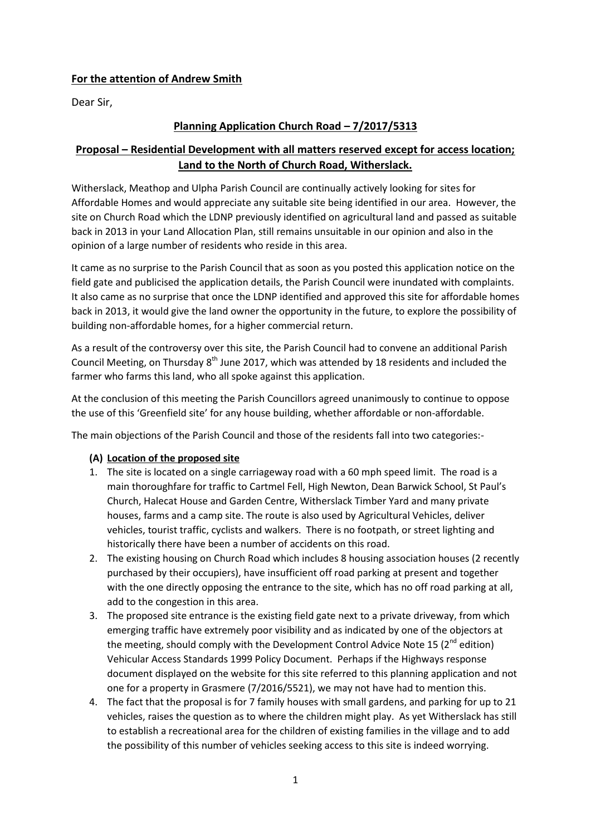### **For the attention of Andrew Smith**

Dear Sir,

## **Planning Application Church Road – 7/2017/5313**

# **Proposal – Residential Development with all matters reserved except for access location; Land to the North of Church Road, Witherslack.**

Witherslack, Meathop and Ulpha Parish Council are continually actively looking for sites for Affordable Homes and would appreciate any suitable site being identified in our area. However, the site on Church Road which the LDNP previously identified on agricultural land and passed as suitable back in 2013 in your Land Allocation Plan, still remains unsuitable in our opinion and also in the opinion of a large number of residents who reside in this area.

It came as no surprise to the Parish Council that as soon as you posted this application notice on the field gate and publicised the application details, the Parish Council were inundated with complaints. It also came as no surprise that once the LDNP identified and approved this site for affordable homes back in 2013, it would give the land owner the opportunity in the future, to explore the possibility of building non-affordable homes, for a higher commercial return.

As a result of the controversy over this site, the Parish Council had to convene an additional Parish Council Meeting, on Thursday  $8<sup>th</sup>$  June 2017, which was attended by 18 residents and included the farmer who farms this land, who all spoke against this application.

At the conclusion of this meeting the Parish Councillors agreed unanimously to continue to oppose the use of this 'Greenfield site' for any house building, whether affordable or non-affordable.

The main objections of the Parish Council and those of the residents fall into two categories:-

#### **(A) Location of the proposed site**

- 1. The site is located on a single carriageway road with a 60 mph speed limit. The road is a main thoroughfare for traffic to Cartmel Fell, High Newton, Dean Barwick School, St Paul's Church, Halecat House and Garden Centre, Witherslack Timber Yard and many private houses, farms and a camp site. The route is also used by Agricultural Vehicles, deliver vehicles, tourist traffic, cyclists and walkers. There is no footpath, or street lighting and historically there have been a number of accidents on this road.
- 2. The existing housing on Church Road which includes 8 housing association houses (2 recently purchased by their occupiers), have insufficient off road parking at present and together with the one directly opposing the entrance to the site, which has no off road parking at all, add to the congestion in this area.
- 3. The proposed site entrance is the existing field gate next to a private driveway, from which emerging traffic have extremely poor visibility and as indicated by one of the objectors at the meeting, should comply with the Development Control Advice Note 15 ( $2^{nd}$  edition) Vehicular Access Standards 1999 Policy Document. Perhaps if the Highways response document displayed on the website for this site referred to this planning application and not one for a property in Grasmere (7/2016/5521), we may not have had to mention this.
- 4. The fact that the proposal is for 7 family houses with small gardens, and parking for up to 21 vehicles, raises the question as to where the children might play. As yet Witherslack has still to establish a recreational area for the children of existing families in the village and to add the possibility of this number of vehicles seeking access to this site is indeed worrying.